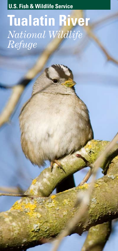**U.S. Fish & Wildlife Service**

## **Tualatin River** *National Wildlife Refuge*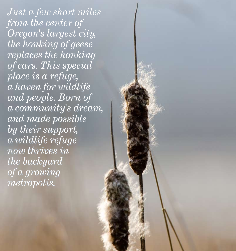*Just a few short miles short miles from the center of from the center of Oregon's largest city, the honking of geese honking of geese replaces the honking the honking of cars. This special of cars. This special place is a refuge, place is a haven for wildlife a haven and people. Born of Born of a community's dream, a community's and made possible made possible by their support, their support, a wildlife refuge a wildlife refuge now thrives in now thrives in the backyard of a growing of a growing metropolis. metropolis.*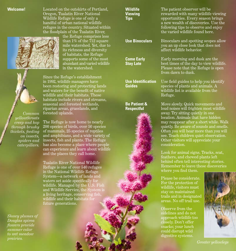**Welcome!** Located on the outskirts of Portland, Oregon, Tualatin River National Wildlife Refuge is one of only a handful of urban national wildlife refuges in the country. Situated within the floodplain of the Tualatin River,

the Refuge comprises less than 1% of the 712 square mile watershed. Yet, due to its richness and diversity of habitats, the Refuge supports some of the most abundant and varied wildlife in the watershed.

Since the Refuge's establishment in 1992, wildlife managers have been restoring and protecting lands and waters for the benefit of native wildlife and their habitats. These habitats include rivers and streams, seasonal and forested wetlands,

*Common yellowthroats creep and hop through brushy thickets, feeding on insects, spiders and caterpillars.*

*O r e g O r e o n*

*Showy plumes of Douglas spirea flowers provide summer color to wet meadow*  **prairies.** *Greater yellowlegs* **Community Community Community Community Community Community Community Community Community Community Community Community Community Community Community Community Community Community Communit** 

riparian areas, grasslands, and forested uplands. The Refuge is now home to nearly 200 species of birds, over 50 species of mammals, 25 species of reptiles and amphibians, and a wide variety of insects, fish and plants. The Refuge has also become a place where people can experience and learn about wildlife and the places they call home.

Tualatin River National Wildlife Refuge is one of over 540 refuges in the National Wildlife Refuge System—a network of lands and waters set aside specifically for wildlife. Managed by the U.S. Fish and Wildlife Service, the System is a living heritage, conserving fish, wildlife and their habitats for future generations.

| <b>Wildlife</b><br><b>Viewing</b><br>Tips    | The patient observer will be<br>rewarded with many wildlife viewing<br>opportunities. Every season brings<br>a new wealth of discoveries. Use the<br>following tips to observe and enjoy<br>the varied wildlife found here.                                                                                                                                                             |  |  |
|----------------------------------------------|-----------------------------------------------------------------------------------------------------------------------------------------------------------------------------------------------------------------------------------------------------------------------------------------------------------------------------------------------------------------------------------------|--|--|
| <b>Use Binoculars</b>                        | Binoculars and spotting scopes allow<br>you an up close look that does not<br>affect wildlife behavior.                                                                                                                                                                                                                                                                                 |  |  |
| <b>Come Early</b><br><b>Stay Late</b>        | Early morning and dusk are the<br>best times of the day to view wildlife.<br>Please note that the Refuge is open<br>from dawn to dusk.                                                                                                                                                                                                                                                  |  |  |
| <b>Use Identification</b><br><b>Guides</b>   | Use field guides to help you identify<br>species of plants and animals. A<br>wildlife list is available from the<br>Refuge.                                                                                                                                                                                                                                                             |  |  |
| <b>Be Patient &amp;</b><br><b>Respectful</b> | Move slowly. Quick movements and<br>loud noises will frighten most wildlife<br>away. Try sitting quietly in one<br>location. Animals that have hidden<br>may reappear after a short while. Walk<br>quietly. Be aware of sounds and smells.<br>Often you will hear more than you will<br>see. Teach children quiet observation.<br>Other visitors will appreciate your<br>consideration. |  |  |
|                                              | Look for animal signs. Tracks, scat,<br>feathers, and chewed plants left<br>behind often tell interesting stories.<br>Remember to leave these discoveries<br>where you find them.                                                                                                                                                                                                       |  |  |
|                                              | Please be considerate.<br>For the protection of<br>wildlife, visitors must<br>stay on maintained<br>trails and in designated<br>areas. No off trail use.                                                                                                                                                                                                                                |  |  |
|                                              | Observe from the<br>idolinga and do ni                                                                                                                                                                                                                                                                                                                                                  |  |  |

sidelines and do not approach wildlife too closely. Don't offer snacks; your lunch could disrupt wild digestive systems.

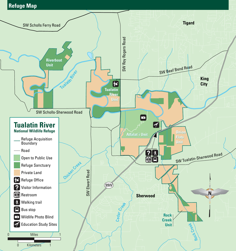## **Refuge Map**

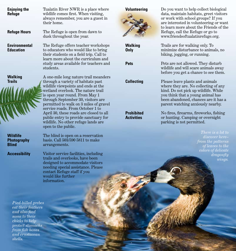| <b>Enjoying the</b><br><b>Refuge</b>           | Tualatin River NWR is a place where<br>wildlife comes first. When visiting,<br>always remember, you are a guest in<br>their home.                                                                                       | <b>Volunteering</b>                    |
|------------------------------------------------|-------------------------------------------------------------------------------------------------------------------------------------------------------------------------------------------------------------------------|----------------------------------------|
| <b>Refuge Hours</b>                            | The Refuge is open from dawn to<br>dusk throughout the year.                                                                                                                                                            |                                        |
| <b>Environmental</b><br><b>Education</b>       | The Refuge offers teacher workshops<br>to educators who would like to bring<br>their students on a field trip. Call to<br>learn more about the curriculum and                                                           | <b>Walking</b><br><b>Only</b>          |
|                                                | study areas available for teachers and<br>students.                                                                                                                                                                     | <b>Pets</b>                            |
| <b>Walking</b><br><b>Trails</b>                | A one-mile long nature trail meanders<br>through a variety of habitats past                                                                                                                                             | <b>Collecting</b>                      |
|                                                | wildlife viewpoints and ends at the<br>wetland overlook. The nature trail<br>is open year round. From May 1<br>through September 30, visitors are<br>permitted to walk on 3 miles of gravel                             |                                        |
|                                                | service roads. From October 1 to<br>April 30, these roads are closed to all<br>public entry to provide sanctuary for<br>wildlife. No other refuge lands are<br>open to the public.                                      | <b>Prohibited</b><br><b>Activities</b> |
| Wildlife<br><b>Photography</b><br><b>Blind</b> | The blind is open on a reservation<br>basis. Call 503/590 5811 to make<br>arrangements.                                                                                                                                 |                                        |
| <b>Accessibility</b>                           | Visitor service facilities, including<br>trails and overlooks, have been<br>designed to accommodate visitors<br>needing special assistance. Please<br>contact Refuge staff if you<br>would like further<br>information. |                                        |
| Pied-billed grebes<br>eat their feathers       |                                                                                                                                                                                                                         |                                        |
| and also food                                  |                                                                                                                                                                                                                         |                                        |

Do you want to help collect biological data, maintain habitats, greet visitors or work with school groups? If you are interested in volunteering or want to learn more about the Friends of the Refuge, call the Refuge or go to www.friendsoftualatinrefuge.org.

Trails are for walking only. To minimize disturbance to animals, no biking, jogging, or running.

Pets are not allowed. They disturb wildlife and will scare animals away before you get a chance to see them.

Please leave plants and animals where they are. No collecting of any kind. Do not pick up wildlife. While you think that a young animal has been abandoned, chances are it has a parent watching anxiously nearby.

No fires, firearms, fireworks, fishing or hunting. Camping or overnight parking is not permitted.

> *There is a lot to discover here– from the patterns of leaves to the colors of delicate dragonfly wings.*

*and also feed some to their chicks to help protect stomachs from fish bones and crustacean shells.*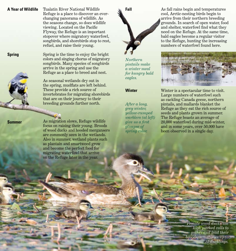**A Year of Wildlife** Tualatin River National Wildlife Refuge is a place to discover an everchanging panorama of wildlife. As the seasons change, so does wildlife viewing. Located on the Pacific Flyway, the Refuge is an important stopover where migratory waterfowl, songbirds, and shorebirds stop to rest, refuel, and raise their young.

> Spring is the time to enjoy the bright colors and singing chorus of migratory songbirds. Many species of songbirds arrive in the spring and use the Refuge as a place to breed and nest.

> > As seasonal wetlands dry out in the spring, mudflats are left behind. These provide a rich source of invertebrates for migrating shorebirds that are on their journey to their breeding grounds further north.

**Summer**

**Spring**

As migration slows, Refuge wildlife focus on raising their young. Broods of wood ducks and hooded mergansers are commonly seen in the wetlands. Also in summer, wetland plants such as plantain and smartweed grow and become the perfect food for migrating waterfowl that arrive on the Refuge later in the year.

**Fall**



*pintails make a winter meal for hungry bald eagles.*

## **Winter**

*After a long, grey winter, yellow-rumped warblers (at left) give us a first glimpse of spring color.*

As fall rains begin and temperatures cool, Arctic-nesting birds begin to arrive from their northern breeding grounds. In search of open water, food and shelter, waterfowl find what they need on the Refuge. At the same time, bald eagles become a regular visitor to the Refuge, hunting the increasing numbers of waterfowl found here.



Winter is a spectacular time to visit. Large numbers of waterfowl such as cackling Canada geese, northern pintails, and mallards blanket the Refuge as they eat the rich source of seeds and plants grown in summer. The Refuge boasts an average of 20,000 waterfowl during mid-winter, and in some years, over 50,000 have been observed in a single day.

> *Female wood ducks use high pitched calls to gather and lead their broods, sometimes up to 15 ducklings.*